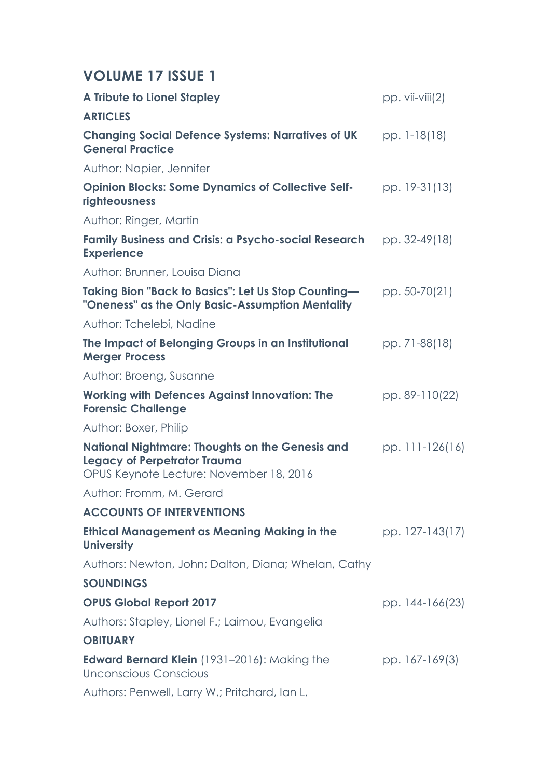## **VOLUME 17 ISSUE 1**

| <b>A Tribute to Lionel Stapley</b>                                                                                                       | $pp. vii-viii(2)$ |
|------------------------------------------------------------------------------------------------------------------------------------------|-------------------|
| <b>ARTICLES</b>                                                                                                                          |                   |
| <b>Changing Social Defence Systems: Narratives of UK</b><br><b>General Practice</b>                                                      | pp. 1-18(18)      |
| Author: Napier, Jennifer                                                                                                                 |                   |
| <b>Opinion Blocks: Some Dynamics of Collective Self-</b><br>righteousness                                                                | pp. 19-31(13)     |
| Author: Ringer, Martin                                                                                                                   |                   |
| <b>Family Business and Crisis: a Psycho-social Research</b><br><b>Experience</b>                                                         | pp. 32-49(18)     |
| Author: Brunner, Louisa Diana                                                                                                            |                   |
| Taking Bion "Back to Basics": Let Us Stop Counting—<br>"Oneness" as the Only Basic-Assumption Mentality                                  | pp. 50-70(21)     |
| Author: Tchelebi, Nadine                                                                                                                 |                   |
| The Impact of Belonging Groups in an Institutional<br><b>Merger Process</b>                                                              | pp. 71-88(18)     |
| Author: Broeng, Susanne                                                                                                                  |                   |
| <b>Working with Defences Against Innovation: The</b><br><b>Forensic Challenge</b>                                                        | pp. 89-110(22)    |
| Author: Boxer, Philip                                                                                                                    |                   |
| <b>National Nightmare: Thoughts on the Genesis and</b><br><b>Legacy of Perpetrator Trauma</b><br>OPUS Keynote Lecture: November 18, 2016 | pp. 111-126(16)   |
| Author: Fromm, M. Gerard                                                                                                                 |                   |
| <b>ACCOUNTS OF INTERVENTIONS</b>                                                                                                         |                   |
| Ethical Management as Meaning Making in the<br><b>University</b>                                                                         | pp. 127-143(17)   |
| Authors: Newton, John; Dalton, Diana; Whelan, Cathy                                                                                      |                   |
| <b>SOUNDINGS</b>                                                                                                                         |                   |
| <b>OPUS Global Report 2017</b>                                                                                                           | pp. 144-166(23)   |
| Authors: Stapley, Lionel F.; Laimou, Evangelia                                                                                           |                   |
| <b>OBITUARY</b>                                                                                                                          |                   |
| <b>Edward Bernard Klein</b> (1931–2016): Making the<br>Unconscious Conscious                                                             | pp. 167-169(3)    |
| Authors: Penwell, Larry W.; Pritchard, Ian L.                                                                                            |                   |